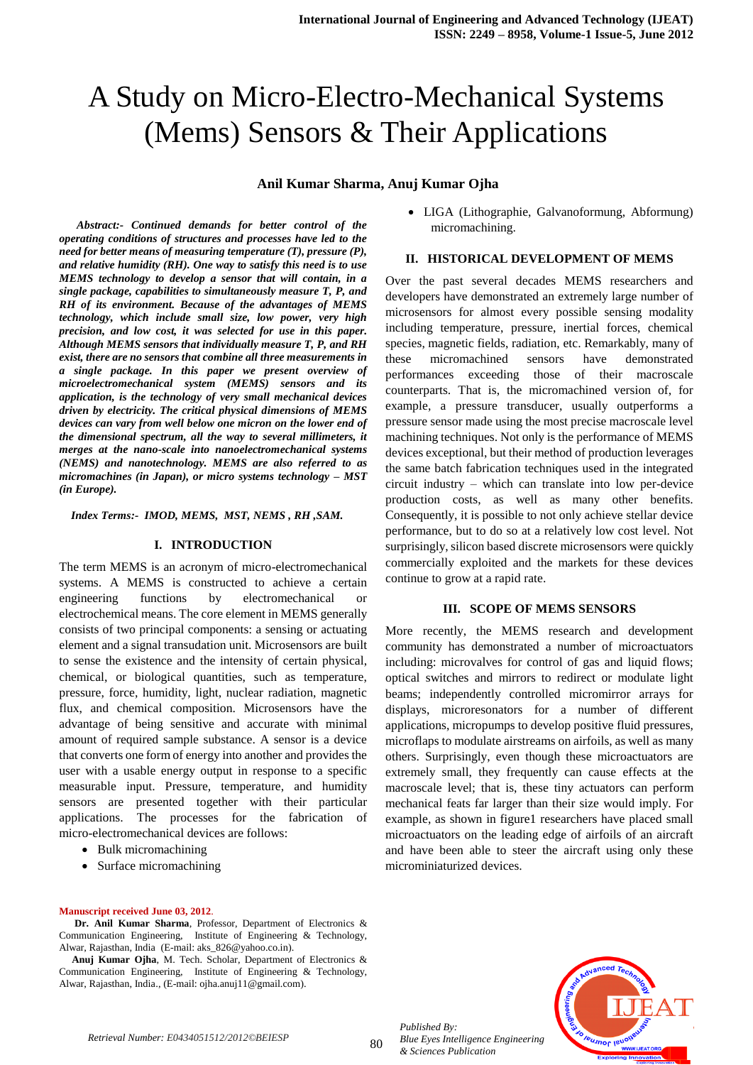# A Study on Micro-Electro-Mechanical Systems (Mems) Sensors & Their Applications

#### **Anil Kumar Sharma, Anuj Kumar Ojha**

 *Abstract:- Continued demands for better control of the operating conditions of structures and processes have led to the need for better means of measuring temperature (T), pressure (P), and relative humidity (RH). One way to satisfy this need is to use MEMS technology to develop a sensor that will contain, in a single package, capabilities to simultaneously measure T, P, and RH of its environment. Because of the advantages of MEMS technology, which include small size, low power, very high precision, and low cost, it was selected for use in this paper. Although MEMS sensors that individually measure T, P, and RH exist, there are no sensors that combine all three measurements in a single package. In this paper we present overview of microelectromechanical system (MEMS) sensors and its application, is the technology of very small mechanical devices driven by electricity. The critical physical dimensions of MEMS devices can vary from well below one micron on the lower end of the dimensional spectrum, all the way to several millimeters, it merges at the nano-scale into nanoelectromechanical systems (NEMS) and nanotechnology. MEMS are also referred to as micromachines (in Japan), or micro systems technology – MST (in Europe).*

*Index Terms:- IMOD, MEMS, MST, NEMS , RH ,SAM.*

#### **I. INTRODUCTION**

The term MEMS is an acronym of micro-electromechanical systems. A MEMS is constructed to achieve a certain engineering functions by electromechanical or electrochemical means. The core element in MEMS generally consists of two principal components: a sensing or actuating element and a signal transudation unit. Microsensors are built to sense the existence and the intensity of certain physical, chemical, or biological quantities, such as temperature, pressure, force, humidity, light, nuclear radiation, magnetic flux, and chemical composition. Microsensors have the advantage of being sensitive and accurate with minimal amount of required sample substance. A sensor is a device that converts one form of energy into another and provides the user with a usable energy output in response to a specific measurable input. Pressure, temperature, and humidity sensors are presented together with their particular applications. The processes for the fabrication of micro-electromechanical devices are follows:

- Bulk micromachining
- Surface micromachining

#### **Manuscript received June 03, 2012**.

**Dr. Anil Kumar Sharma**, Professor, Department of Electronics & Communication Engineering, Institute of Engineering & Technology, Alwar, Rajasthan, India (E-mail: aks\_826@yahoo.co.in).

**Anuj Kumar Ojha**, M. Tech. Scholar, Department of Electronics & Communication Engineering, Institute of Engineering & Technology, Alwar, Rajasthan, India., (E-mail: ojha.anuj11@gmail.com).

 LIGA (Lithographie, Galvanoformung, Abformung) micromachining.

#### **II. HISTORICAL DEVELOPMENT OF MEMS**

Over the past several decades MEMS researchers and developers have demonstrated an extremely large number of microsensors for almost every possible sensing modality including temperature, pressure, inertial forces, chemical species, magnetic fields, radiation, etc. Remarkably, many of these micromachined sensors have demonstrated performances exceeding those of their macroscale counterparts. That is, the micromachined version of, for example, a pressure transducer, usually outperforms a pressure sensor made using the most precise macroscale level machining techniques. Not only is the performance of MEMS devices exceptional, but their method of production leverages the same batch fabrication techniques used in the integrated circuit industry – which can translate into low per-device production costs, as well as many other benefits. Consequently, it is possible to not only achieve stellar device performance, but to do so at a relatively low cost level. Not surprisingly, silicon based discrete microsensors were quickly commercially exploited and the markets for these devices continue to grow at a rapid rate.

#### **III. SCOPE OF MEMS SENSORS**

More recently, the MEMS research and development community has demonstrated a number of microactuators including: microvalves for control of gas and liquid flows; optical switches and mirrors to redirect or modulate light beams; independently controlled micromirror arrays for displays, microresonators for a number of different applications, micropumps to develop positive fluid pressures, microflaps to modulate airstreams on airfoils, as well as many others. Surprisingly, even though these microactuators are extremely small, they frequently can cause effects at the macroscale level; that is, these tiny actuators can perform mechanical feats far larger than their size would imply. For example, as shown in figure1 researchers have placed small microactuators on the leading edge of airfoils of an aircraft and have been able to steer the aircraft using only these microminiaturized devices.



*Published By:*

*& Sciences Publication* 

*Blue Eyes Intelligence Engineering*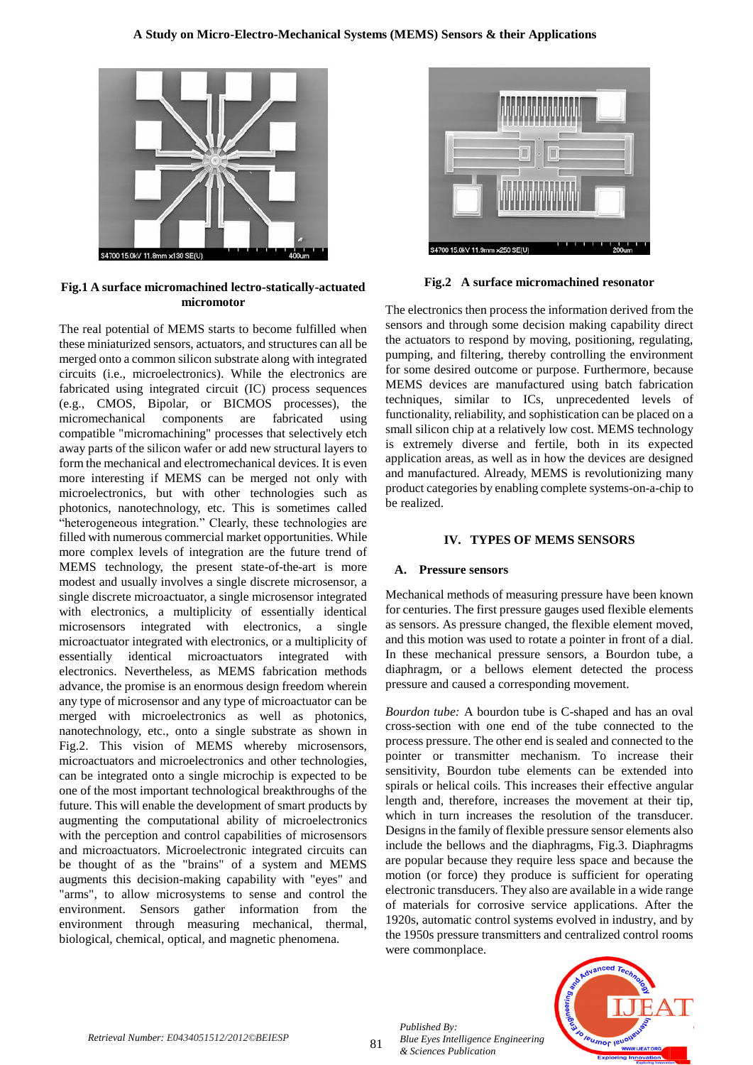

**Fig.1 A surface micromachined lectro-statically-actuated micromotor** 

The real potential of MEMS starts to become fulfilled when these miniaturized sensors, actuators, and structures can all be merged onto a common silicon substrate along with integrated circuits (i.e., microelectronics). While the electronics are fabricated using integrated circuit (IC) process sequences (e.g., CMOS, Bipolar, or BICMOS processes), the micromechanical components are fabricated using compatible "micromachining" processes that selectively etch away parts of the silicon wafer or add new structural layers to form the mechanical and electromechanical devices. It is even more interesting if MEMS can be merged not only with microelectronics, but with other technologies such as photonics, nanotechnology, etc. This is sometimes called "heterogeneous integration." Clearly, these technologies are filled with numerous commercial market opportunities. While more complex levels of integration are the future trend of MEMS technology, the present state-of-the-art is more modest and usually involves a single discrete microsensor, a single discrete microactuator, a single microsensor integrated with electronics, a multiplicity of essentially identical microsensors integrated with electronics, a single microactuator integrated with electronics, or a multiplicity of essentially identical microactuators integrated with electronics. Nevertheless, as MEMS fabrication methods advance, the promise is an enormous design freedom wherein any type of microsensor and any type of microactuator can be merged with microelectronics as well as photonics, nanotechnology, etc., onto a single substrate as shown in Fig.2. This vision of MEMS whereby microsensors, microactuators and microelectronics and other technologies, can be integrated onto a single microchip is expected to be one of the most important technological breakthroughs of the future. This will enable the development of smart products by augmenting the computational ability of microelectronics with the perception and control capabilities of microsensors and microactuators. Microelectronic integrated circuits can be thought of as the "brains" of a system and MEMS augments this decision-making capability with "eyes" and "arms", to allow microsystems to sense and control the environment. Sensors gather information from the environment through measuring mechanical, thermal, biological, chemical, optical, and magnetic phenomena.



**Fig.2 A surface micromachined resonator** 

The electronics then process the information derived from the sensors and through some decision making capability direct the actuators to respond by moving, positioning, regulating, pumping, and filtering, thereby controlling the environment for some desired outcome or purpose. Furthermore, because MEMS devices are manufactured using batch fabrication techniques, similar to ICs, unprecedented levels of functionality, reliability, and sophistication can be placed on a small silicon chip at a relatively low cost. MEMS technology is extremely diverse and fertile, both in its expected application areas, as well as in how the devices are designed and manufactured. Already, MEMS is revolutionizing many product categories by enabling complete systems-on-a-chip to be realized.

## **IV. TYPES OF MEMS SENSORS**

#### **A. Pressure sensors**

Mechanical methods of measuring pressure have been known for centuries. The first pressure gauges used flexible elements as sensors. As pressure changed, the flexible element moved, and this motion was used to rotate a pointer in front of a dial. In these mechanical pressure sensors, a Bourdon tube, a diaphragm, or a bellows element detected the process pressure and caused a corresponding movement.

*Bourdon tube:* A bourdon tube is C-shaped and has an oval cross-section with one end of the tube connected to the process pressure. The other end is sealed and connected to the pointer or transmitter mechanism. To increase their sensitivity, Bourdon tube elements can be extended into spirals or helical coils. This increases their effective angular length and, therefore, increases the movement at their tip, which in turn increases the resolution of the transducer. Designs in the family of flexible pressure sensor elements also include the bellows and the diaphragms, Fig.3. Diaphragms are popular because they require less space and because the motion (or force) they produce is sufficient for operating electronic transducers. They also are available in a wide range of materials for corrosive service applications. After the 1920s, automatic control systems evolved in industry, and by the 1950s pressure transmitters and centralized control rooms were commonplace.



81

*Published By:*

*& Sciences Publication* 

*Blue Eyes Intelligence Engineering*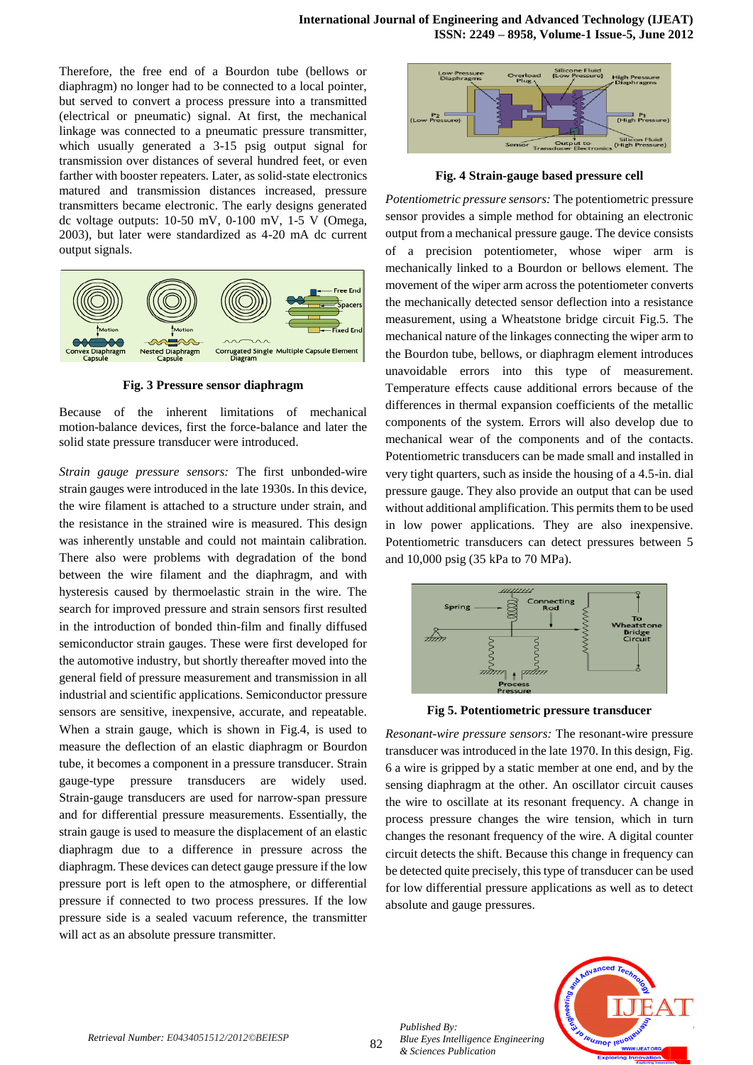Therefore, the free end of a Bourdon tube (bellows or diaphragm) no longer had to be connected to a local pointer, but served to convert a process pressure into a transmitted (electrical or pneumatic) signal. At first, the mechanical linkage was connected to a pneumatic pressure transmitter, which usually generated a 3-15 psig output signal for transmission over distances of several hundred feet, or even farther with booster repeaters. Later, as solid-state electronics matured and transmission distances increased, pressure transmitters became electronic. The early designs generated dc voltage outputs: 10-50 mV, 0-100 mV, 1-5 V (Omega, 2003), but later were standardized as 4-20 mA dc current output signals.



**Fig. 3 Pressure sensor diaphragm** 

Because of the inherent limitations of mechanical motion-balance devices, first the force-balance and later the solid state pressure transducer were introduced.

*Strain gauge pressure sensors:* The first unbonded-wire strain gauges were introduced in the late 1930s. In this device, the wire filament is attached to a structure under strain, and the resistance in the strained wire is measured. This design was inherently unstable and could not maintain calibration. There also were problems with degradation of the bond between the wire filament and the diaphragm, and with hysteresis caused by thermoelastic strain in the wire. The search for improved pressure and strain sensors first resulted in the introduction of bonded thin-film and finally diffused semiconductor strain gauges. These were first developed for the automotive industry, but shortly thereafter moved into the general field of pressure measurement and transmission in all industrial and scientific applications. Semiconductor pressure sensors are sensitive, inexpensive, accurate, and repeatable. When a strain gauge, which is shown in Fig.4, is used to measure the deflection of an elastic diaphragm or Bourdon tube, it becomes a component in a pressure transducer. Strain gauge-type pressure transducers are widely used. Strain-gauge transducers are used for narrow-span pressure and for differential pressure measurements. Essentially, the strain gauge is used to measure the displacement of an elastic diaphragm due to a difference in pressure across the diaphragm. These devices can detect gauge pressure if the low pressure port is left open to the atmosphere, or differential pressure if connected to two process pressures. If the low pressure side is a sealed vacuum reference, the transmitter will act as an absolute pressure transmitter.



**Fig. 4 Strain-gauge based pressure cell**

*Potentiometric pressure sensors:* The potentiometric pressure sensor provides a simple method for obtaining an electronic output from a mechanical pressure gauge. The device consists of a precision potentiometer, whose wiper arm is mechanically linked to a Bourdon or bellows element. The movement of the wiper arm across the potentiometer converts the mechanically detected sensor deflection into a resistance measurement, using a Wheatstone bridge circuit Fig.5. The mechanical nature of the linkages connecting the wiper arm to the Bourdon tube, bellows, or diaphragm element introduces unavoidable errors into this type of measurement. Temperature effects cause additional errors because of the differences in thermal expansion coefficients of the metallic components of the system. Errors will also develop due to mechanical wear of the components and of the contacts. Potentiometric transducers can be made small and installed in very tight quarters, such as inside the housing of a 4.5-in. dial pressure gauge. They also provide an output that can be used without additional amplification. This permits them to be used in low power applications. They are also inexpensive. Potentiometric transducers can detect pressures between 5 and 10,000 psig (35 kPa to 70 MPa).



**Fig 5. Potentiometric pressure transducer**

*Resonant-wire pressure sensors:* The resonant-wire pressure transducer was introduced in the late 1970. In this design, Fig. 6 a wire is gripped by a static member at one end, and by the sensing diaphragm at the other. An oscillator circuit causes the wire to oscillate at its resonant frequency. A change in process pressure changes the wire tension, which in turn changes the resonant frequency of the wire. A digital counter circuit detects the shift. Because this change in frequency can be detected quite precisely, this type of transducer can be used for low differential pressure applications as well as to detect absolute and gauge pressures.



*Published By:*

*& Sciences Publication*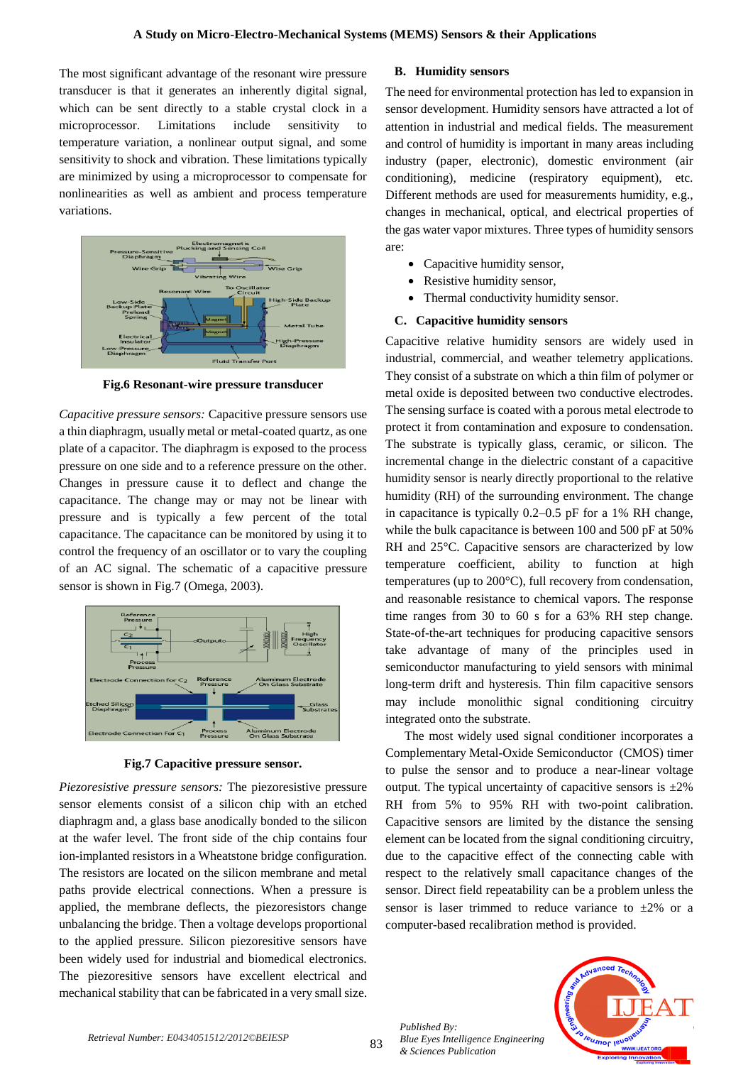The most significant advantage of the resonant wire pressure transducer is that it generates an inherently digital signal, which can be sent directly to a stable crystal clock in a microprocessor. Limitations include sensitivity to temperature variation, a nonlinear output signal, and some sensitivity to shock and vibration. These limitations typically are minimized by using a microprocessor to compensate for nonlinearities as well as ambient and process temperature variations.



**Fig.6 Resonant-wire pressure transducer** 

*Capacitive pressure sensors:* Capacitive pressure sensors use a thin diaphragm, usually metal or metal-coated quartz, as one plate of a capacitor. The diaphragm is exposed to the process pressure on one side and to a reference pressure on the other. Changes in pressure cause it to deflect and change the capacitance. The change may or may not be linear with pressure and is typically a few percent of the total capacitance. The capacitance can be monitored by using it to control the frequency of an oscillator or to vary the coupling of an AC signal. The schematic of a capacitive pressure sensor is shown in Fig.7 (Omega, 2003).



**Fig.7 Capacitive pressure sensor.**

*Piezoresistive pressure sensors:* The piezoresistive pressure sensor elements consist of a silicon chip with an etched diaphragm and, a glass base anodically bonded to the silicon at the wafer level. The front side of the chip contains four ion-implanted resistors in a Wheatstone bridge configuration. The resistors are located on the silicon membrane and metal paths provide electrical connections. When a pressure is applied, the membrane deflects, the piezoresistors change unbalancing the bridge. Then a voltage develops proportional to the applied pressure. Silicon piezoresitive sensors have been widely used for industrial and biomedical electronics. The piezoresitive sensors have excellent electrical and mechanical stability that can be fabricated in a very small size.

#### **B. Humidity sensors**

The need for environmental protection has led to expansion in sensor development. Humidity sensors have attracted a lot of attention in industrial and medical fields. The measurement and control of humidity is important in many areas including industry (paper, electronic), domestic environment (air conditioning), medicine (respiratory equipment), etc. Different methods are used for measurements humidity, e.g., changes in mechanical, optical, and electrical properties of the gas water vapor mixtures. Three types of humidity sensors are:

- Capacitive humidity sensor,
- Resistive humidity sensor,
- Thermal conductivity humidity sensor.

## **C. Capacitive humidity sensors**

Capacitive relative humidity sensors are widely used in industrial, commercial, and weather telemetry applications. They consist of a substrate on which a thin film of polymer or metal oxide is deposited between two conductive electrodes. The sensing surface is coated with a porous metal electrode to protect it from contamination and exposure to condensation. The substrate is typically glass, ceramic, or silicon. The incremental change in the dielectric constant of a capacitive humidity sensor is nearly directly proportional to the relative humidity (RH) of the surrounding environment. The change in capacitance is typically 0.2–0.5 pF for a 1% RH change, while the bulk capacitance is between 100 and 500 pF at 50% RH and 25°C. Capacitive sensors are characterized by low temperature coefficient, ability to function at high temperatures (up to 200°C), full recovery from condensation, and reasonable resistance to chemical vapors. The response time ranges from 30 to 60 s for a 63% RH step change. State-of-the-art techniques for producing capacitive sensors take advantage of many of the principles used in semiconductor manufacturing to yield sensors with minimal long-term drift and hysteresis. Thin film capacitive sensors may include monolithic signal conditioning circuitry integrated onto the substrate.

 The most widely used signal conditioner incorporates a Complementary Metal-Oxide Semiconductor (CMOS) timer to pulse the sensor and to produce a near-linear voltage output. The typical uncertainty of capacitive sensors is  $\pm 2\%$ RH from 5% to 95% RH with two-point calibration. Capacitive sensors are limited by the distance the sensing element can be located from the signal conditioning circuitry, due to the capacitive effect of the connecting cable with respect to the relatively small capacitance changes of the sensor. Direct field repeatability can be a problem unless the sensor is laser trimmed to reduce variance to  $\pm 2\%$  or a computer-based recalibration method is provided.

*Published By: Blue Eyes Intelligence Engineering & Sciences Publication* 

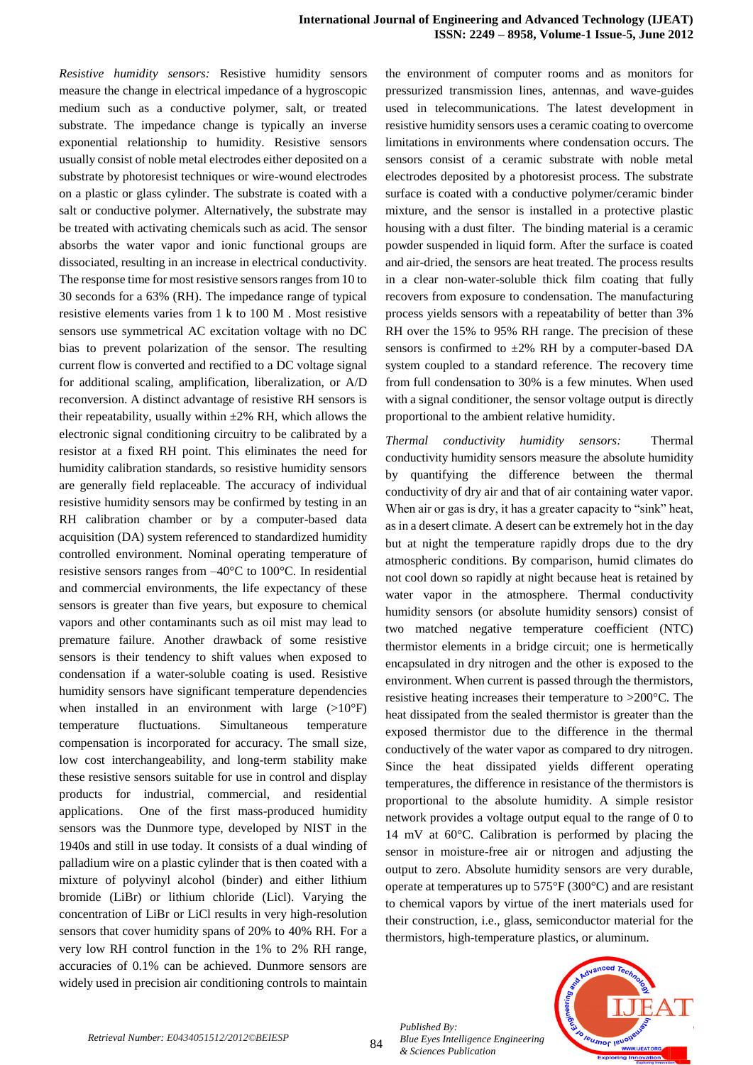*Resistive humidity sensors:* Resistive humidity sensors measure the change in electrical impedance of a hygroscopic medium such as a conductive polymer, salt, or treated substrate. The impedance change is typically an inverse exponential relationship to humidity. Resistive sensors usually consist of noble metal electrodes either deposited on a substrate by photoresist techniques or wire-wound electrodes on a plastic or glass cylinder. The substrate is coated with a salt or conductive polymer. Alternatively, the substrate may be treated with activating chemicals such as acid. The sensor absorbs the water vapor and ionic functional groups are dissociated, resulting in an increase in electrical conductivity. The response time for most resistive sensors ranges from 10 to 30 seconds for a 63% (RH). The impedance range of typical resistive elements varies from 1 k to 100 M . Most resistive sensors use symmetrical AC excitation voltage with no DC bias to prevent polarization of the sensor. The resulting current flow is converted and rectified to a DC voltage signal for additional scaling, amplification, liberalization, or A/D reconversion. A distinct advantage of resistive RH sensors is their repeatability, usually within  $\pm 2\%$  RH, which allows the electronic signal conditioning circuitry to be calibrated by a resistor at a fixed RH point. This eliminates the need for humidity calibration standards, so resistive humidity sensors are generally field replaceable. The accuracy of individual resistive humidity sensors may be confirmed by testing in an RH calibration chamber or by a computer-based data acquisition (DA) system referenced to standardized humidity controlled environment. Nominal operating temperature of resistive sensors ranges from –40°C to 100°C. In residential and commercial environments, the life expectancy of these sensors is greater than five years, but exposure to chemical vapors and other contaminants such as oil mist may lead to premature failure. Another drawback of some resistive sensors is their tendency to shift values when exposed to condensation if a water-soluble coating is used. Resistive humidity sensors have significant temperature dependencies when installed in an environment with large  $(>10^{\circ}F)$ temperature fluctuations. Simultaneous temperature compensation is incorporated for accuracy. The small size, low cost interchangeability, and long-term stability make these resistive sensors suitable for use in control and display products for industrial, commercial, and residential applications. One of the first mass-produced humidity sensors was the Dunmore type, developed by NIST in the 1940s and still in use today. It consists of a dual winding of palladium wire on a plastic cylinder that is then coated with a mixture of polyvinyl alcohol (binder) and either lithium bromide (LiBr) or lithium chloride (Licl). Varying the concentration of LiBr or LiCl results in very high-resolution sensors that cover humidity spans of 20% to 40% RH. For a very low RH control function in the 1% to 2% RH range, accuracies of 0.1% can be achieved. Dunmore sensors are widely used in precision air conditioning controls to maintain the environment of computer rooms and as monitors for pressurized transmission lines, antennas, and wave-guides used in telecommunications. The latest development in resistive humidity sensors uses a ceramic coating to overcome limitations in environments where condensation occurs. The sensors consist of a ceramic substrate with noble metal electrodes deposited by a photoresist process. The substrate surface is coated with a conductive polymer/ceramic binder mixture, and the sensor is installed in a protective plastic housing with a dust filter. The binding material is a ceramic powder suspended in liquid form. After the surface is coated and air-dried, the sensors are heat treated. The process results in a clear non-water-soluble thick film coating that fully recovers from exposure to condensation. The manufacturing process yields sensors with a repeatability of better than 3% RH over the 15% to 95% RH range. The precision of these sensors is confirmed to  $\pm 2\%$  RH by a computer-based DA system coupled to a standard reference. The recovery time from full condensation to 30% is a few minutes. When used with a signal conditioner, the sensor voltage output is directly proportional to the ambient relative humidity.

*Thermal conductivity humidity sensors:* Thermal conductivity humidity sensors measure the absolute humidity by quantifying the difference between the thermal conductivity of dry air and that of air containing water vapor. When air or gas is dry, it has a greater capacity to "sink" heat, as in a desert climate. A desert can be extremely hot in the day but at night the temperature rapidly drops due to the dry atmospheric conditions. By comparison, humid climates do not cool down so rapidly at night because heat is retained by water vapor in the atmosphere. Thermal conductivity humidity sensors (or absolute humidity sensors) consist of two matched negative temperature coefficient (NTC) thermistor elements in a bridge circuit; one is hermetically encapsulated in dry nitrogen and the other is exposed to the environment. When current is passed through the thermistors, resistive heating increases their temperature to >200°C. The heat dissipated from the sealed thermistor is greater than the exposed thermistor due to the difference in the thermal conductively of the water vapor as compared to dry nitrogen. Since the heat dissipated yields different operating temperatures, the difference in resistance of the thermistors is proportional to the absolute humidity. A simple resistor network provides a voltage output equal to the range of 0 to 14 mV at 60°C. Calibration is performed by placing the sensor in moisture-free air or nitrogen and adjusting the output to zero. Absolute humidity sensors are very durable, operate at temperatures up to 575°F (300°C) and are resistant to chemical vapors by virtue of the inert materials used for their construction, i.e., glass, semiconductor material for the thermistors, high-temperature plastics, or aluminum.

*Published By: Blue Eyes Intelligence Engineering & Sciences Publication* 

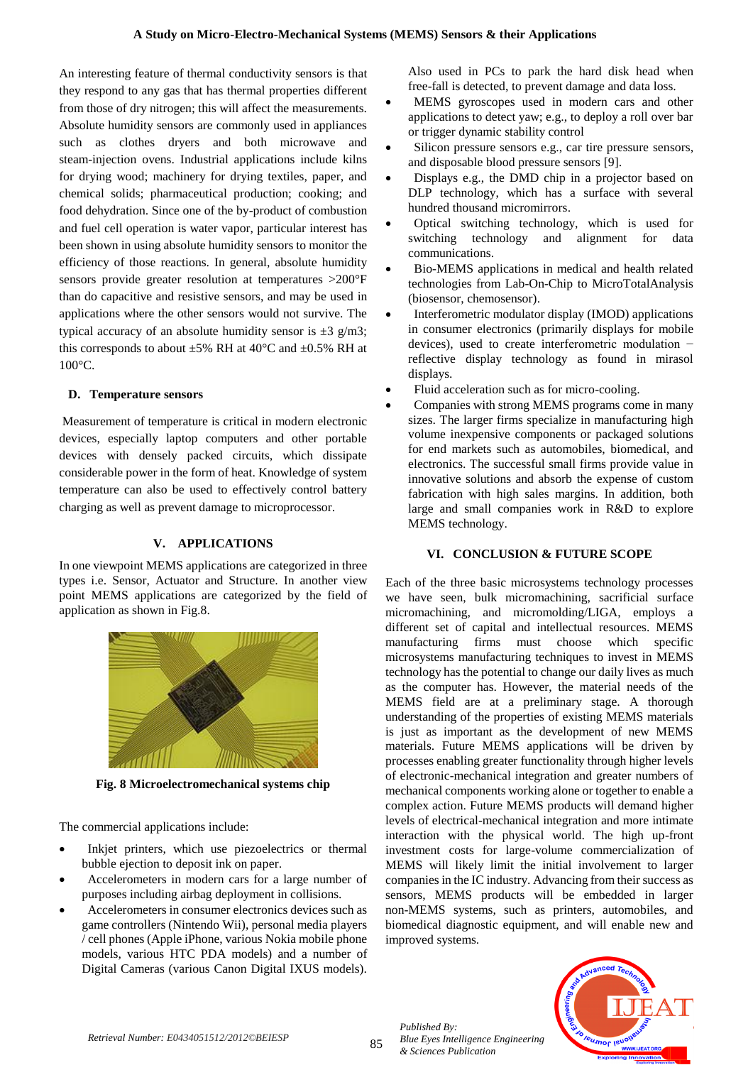An interesting feature of thermal conductivity sensors is that they respond to any gas that has thermal properties different from those of dry nitrogen; this will affect the measurements. Absolute humidity sensors are commonly used in appliances such as clothes dryers and both microwave and steam-injection ovens. Industrial applications include kilns for drying wood; machinery for drying textiles, paper, and chemical solids; pharmaceutical production; cooking; and food dehydration. Since one of the by-product of combustion and fuel cell operation is water vapor, particular interest has been shown in using absolute humidity sensors to monitor the efficiency of those reactions. In general, absolute humidity sensors provide greater resolution at temperatures >200°F than do capacitive and resistive sensors, and may be used in applications where the other sensors would not survive. The typical accuracy of an absolute humidity sensor is  $\pm 3$  g/m3; this corresponds to about  $\pm 5\%$  RH at 40°C and  $\pm 0.5\%$  RH at 100°C.

## **D. Temperature sensors**

Measurement of temperature is critical in modern electronic devices, especially laptop computers and other portable devices with densely packed circuits, which dissipate considerable power in the form of heat. Knowledge of system temperature can also be used to effectively control battery charging as well as prevent damage to microprocessor.

#### **V. APPLICATIONS**

In one viewpoint MEMS applications are categorized in three types i.e. Sensor, Actuator and Structure. In another view point MEMS applications are categorized by the field of application as shown in Fig.8.



**Fig. 8 Microelectromechanical systems chip**

The commercial applications include:

- Inkjet printers, which use piezoelectrics or thermal bubble ejection to deposit ink on paper.
- Accelerometers in modern cars for a large number of purposes including airbag deployment in collisions.
- Accelerometers in consumer electronics devices such as game controllers (Nintendo Wii), personal media players / cell phones (Apple iPhone, various Nokia mobile phone models, various HTC PDA models) and a number of Digital Cameras (various Canon Digital IXUS models).

Also used in PCs to park the hard disk head when free-fall is detected, to prevent damage and data loss.

- MEMS gyroscopes used in modern cars and other applications to detect yaw; e.g., to deploy a roll over bar or trigger dynamic stability control
- Silicon pressure sensors e.g., car tire pressure sensors, and disposable blood pressure sensors [9].
- Displays e.g., the DMD chip in a projector based on DLP technology, which has a surface with several hundred thousand micromirrors.
- Optical switching technology, which is used for switching technology and alignment for data communications.
- Bio-MEMS applications in medical and health related technologies from Lab-On-Chip to MicroTotalAnalysis (biosensor, chemosensor).
- Interferometric modulator display (IMOD) applications in consumer electronics (primarily displays for mobile devices), used to create interferometric modulation − reflective display technology as found in mirasol displays.
- Fluid acceleration such as for micro-cooling.
- Companies with strong MEMS programs come in many sizes. The larger firms specialize in manufacturing high volume inexpensive components or packaged solutions for end markets such as automobiles, biomedical, and electronics. The successful small firms provide value in innovative solutions and absorb the expense of custom fabrication with high sales margins. In addition, both large and small companies work in [R&D](http://en.wikipedia.org/wiki/R%26D) to explore MEMS technology.

## **VI. CONCLUSION & FUTURE SCOPE**

Each of the three basic microsystems technology processes we have seen, bulk micromachining, sacrificial surface micromachining, and micromolding/LIGA, employs a different set of capital and intellectual resources. MEMS manufacturing firms must choose which specific microsystems manufacturing techniques to invest in MEMS technology has the potential to change our daily lives as much as the computer has. However, the material needs of the MEMS field are at a preliminary stage. A thorough understanding of the properties of existing MEMS materials is just as important as the development of new MEMS materials. Future MEMS applications will be driven by processes enabling greater functionality through higher levels of electronic-mechanical integration and greater numbers of mechanical components working alone or together to enable a complex action. Future MEMS products will demand higher levels of electrical-mechanical integration and more intimate interaction with the physical world. The high up-front investment costs for large-volume commercialization of MEMS will likely limit the initial involvement to larger companies in the IC industry. Advancing from their success as sensors, MEMS products will be embedded in larger non-MEMS systems, such as printers, automobiles, and biomedical diagnostic equipment, and will enable new and improved systems.